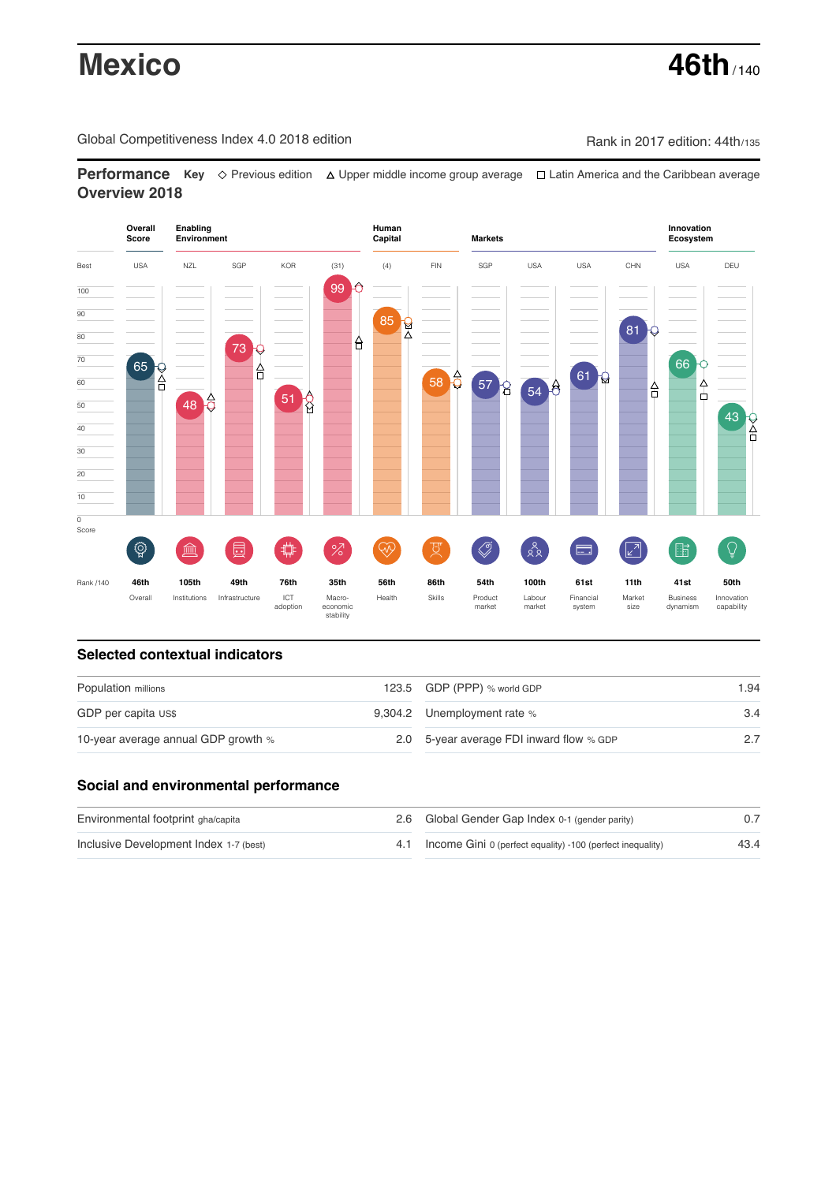# **Mexico 46th** / 140

Global Competitiveness Index 4.0 2018 edition Company Rank in 2017 edition: 44th/135

**Performance** Key ◇ Previous edition △ Upper middle income group average □ Latin America and the Caribbean average **Overview 2018**



## **Selected contextual indicators**

| Population millions                 |  | 123.5 GDP (PPP) % world GDP              | 1.94 |  |
|-------------------------------------|--|------------------------------------------|------|--|
| GDP per capita US\$                 |  | 9,304.2 Unemployment rate %              | 3.4  |  |
| 10-year average annual GDP growth % |  | 2.0 5-year average FDI inward flow % GDP |      |  |

## **Social and environmental performance**

| Environmental footprint gha/capita     | 2.6 Global Gender Gap Index 0-1 (gender parity)                |      |
|----------------------------------------|----------------------------------------------------------------|------|
| Inclusive Development Index 1-7 (best) | 4.1 Income Gini 0 (perfect equality) -100 (perfect inequality) | 43.4 |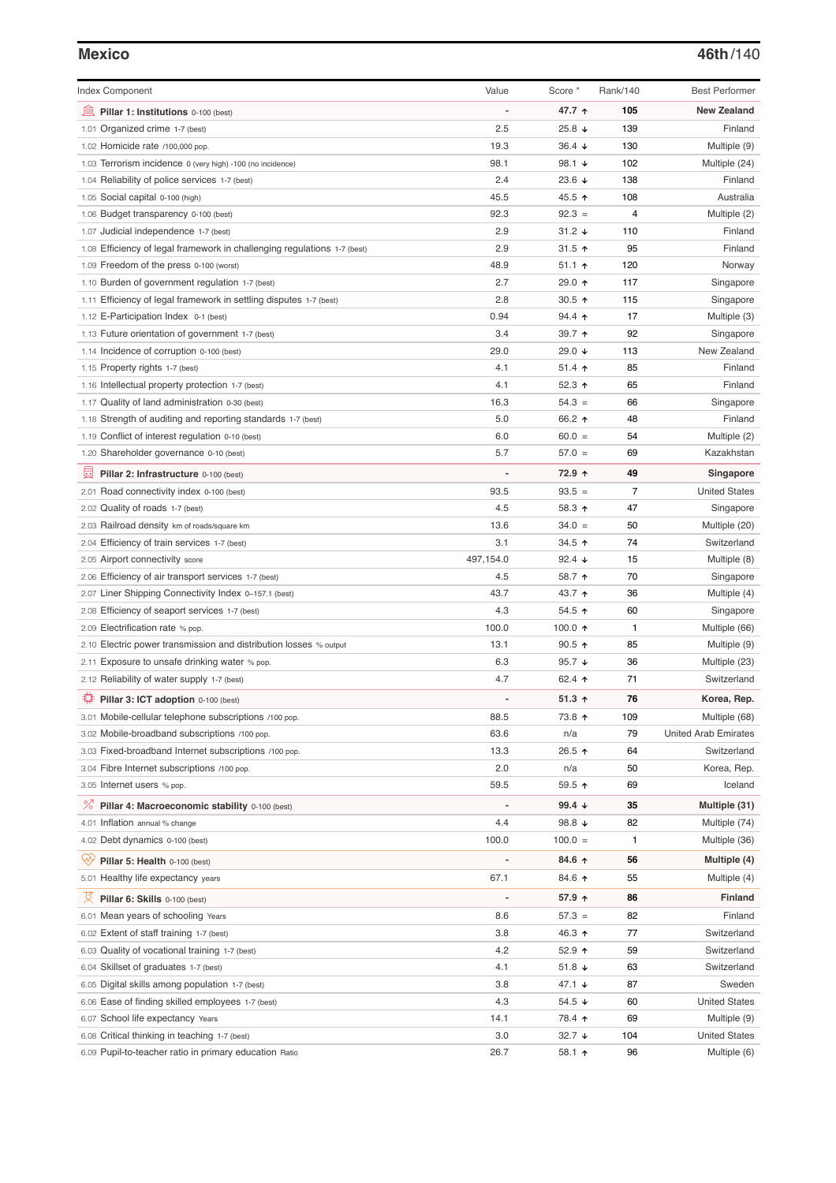| <b>Index Component</b>                                                   | Value     | Score *              | Rank/140       | <b>Best Performer</b>       |
|--------------------------------------------------------------------------|-----------|----------------------|----------------|-----------------------------|
| 寙<br>Pillar 1: Institutions 0-100 (best)                                 |           | 47.7 ↑               | 105            | <b>New Zealand</b>          |
| Organized crime 1-7 (best)<br>1.01                                       | 2.5       | 25.8 ↓               | 139            | Finland                     |
| 1.02 Homicide rate /100,000 pop.                                         | 19.3      | $36.4 +$             | 130            | Multiple (9)                |
| 1.03 Terrorism incidence 0 (very high) -100 (no incidence)               | 98.1      | 98.1 $\sqrt{ }$      | 102            | Multiple (24)               |
| 1.04 Reliability of police services 1-7 (best)                           | 2.4       | 23.6 $\sqrt{ }$      | 138            | Finland                     |
| 1.05 Social capital 0-100 (high)                                         | 45.5      | 45.5 ↑               | 108            | Australia                   |
| 1.06 Budget transparency 0-100 (best)                                    | 92.3      | $92.3 =$             | 4              | Multiple (2)                |
| 1.07 Judicial independence 1-7 (best)                                    | 2.9       | $31.2 +$             | 110            | Finland                     |
| 1.08 Efficiency of legal framework in challenging regulations 1-7 (best) | 2.9       | 31.5 $\uparrow$      | 95             | Finland                     |
| 1.09 Freedom of the press 0-100 (worst)                                  | 48.9      | $51.1$ ↑             | 120            | Norway                      |
| 1.10 Burden of government regulation 1-7 (best)                          | 2.7       | 29.0 个               | 117            | Singapore                   |
| 1.11 Efficiency of legal framework in settling disputes 1-7 (best)       | 2.8       | 30.5 $\uparrow$      | 115            | Singapore                   |
| 1.12 E-Participation Index 0-1 (best)                                    | 0.94      | $94.4$ ↑             | 17             | Multiple (3)                |
| 1.13 Future orientation of government 1-7 (best)                         | 3.4       | 39.7 ↑               | 92             | Singapore                   |
| 1.14 Incidence of corruption 0-100 (best)                                | 29.0      | 29.0 $\sqrt{ }$      | 113            | New Zealand                 |
| 1.15 Property rights 1-7 (best)                                          | 4.1       | $51.4$ 1             | 85             | Finland                     |
| 1.16 Intellectual property protection 1-7 (best)                         | 4.1       | 52.3 $\uparrow$      | 65             | Finland                     |
| 1.17 Quality of land administration 0-30 (best)                          | 16.3      | $54.3 =$             | 66             | Singapore                   |
| 1.18 Strength of auditing and reporting standards 1-7 (best)             | 5.0       | 66.2 ↑               | 48             | Finland                     |
| 1.19 Conflict of interest regulation 0-10 (best)                         | 6.0       | $60.0 =$             | 54             | Multiple (2)                |
| 1.20 Shareholder governance 0-10 (best)                                  | 5.7       | $57.0 =$             | 69             | Kazakhstan                  |
|                                                                          |           |                      |                |                             |
| 員<br>Pillar 2: Infrastructure 0-100 (best)                               |           | 72.9 ↑               | 49             | Singapore                   |
| 2.01 Road connectivity index 0-100 (best)                                | 93.5      | $93.5 =$             | $\overline{7}$ | <b>United States</b>        |
| 2.02 Quality of roads 1-7 (best)                                         | 4.5       | 58.3 $\uparrow$      | 47             | Singapore                   |
| 2.03 Railroad density km of roads/square km                              | 13.6      | $34.0 =$             | 50             | Multiple (20)               |
| 2.04 Efficiency of train services 1-7 (best)                             | 3.1       | 34.5 ↑               | 74             | Switzerland                 |
| 2.05 Airport connectivity score                                          | 497,154.0 | 92.4 $\sqrt{ }$      | 15             | Multiple (8)                |
| 2.06 Efficiency of air transport services 1-7 (best)                     | 4.5       | 58.7 ↑               | 70             | Singapore                   |
| 2.07 Liner Shipping Connectivity Index 0-157.1 (best)                    | 43.7      | 43.7 ↑               | 36             | Multiple (4)                |
| 2.08 Efficiency of seaport services 1-7 (best)                           | 4.3       | 54.5 ↑               | 60             | Singapore                   |
| 2.09 Electrification rate % pop.                                         | 100.0     | 100.0 $\uparrow$     | 1              | Multiple (66)               |
| 2.10 Electric power transmission and distribution losses % output        | 13.1      | $90.5$ 1             | 85             | Multiple (9)                |
| 2.11 Exposure to unsafe drinking water % pop.                            | 6.3       | 95.7 $\sqrt{ }$      | 36             | Multiple (23)               |
| 2.12 Reliability of water supply 1-7 (best)                              | 4.7       | 62.4 $\uparrow$      | 71             | Switzerland                 |
| O<br>Pillar 3: ICT adoption 0-100 (best)                                 |           | 51.3 $\uparrow$      | 76             | Korea, Rep.                 |
| 3.01 Mobile-cellular telephone subscriptions /100 pop.                   | 88.5      | 73.8 个               | 109            | Multiple (68)               |
| 3.02 Mobile-broadband subscriptions /100 pop.                            | 63.6      | n/a                  | 79             | <b>United Arab Emirates</b> |
| 3.03 Fixed-broadband Internet subscriptions /100 pop.                    | 13.3      | 26.5 ↑               | 64             | Switzerland                 |
| 3.04 Fibre Internet subscriptions /100 pop.                              | 2.0       | n/a                  | 50             | Korea, Rep.                 |
| 3.05 Internet users % pop.                                               | 59.5      | 59.5 个               | 69             | Iceland                     |
| ℅<br>Pillar 4: Macroeconomic stability 0-100 (best)                      |           | 99.4 $\sqrt{ }$      | 35             | Multiple (31)               |
| 4.01 Inflation annual % change                                           | 4.4       | 98.8 $\sqrt{ }$      | 82             | Multiple (74)               |
| 4.02 Debt dynamics 0-100 (best)                                          | 100.0     | $100.0 =$            | 1              | Multiple (36)               |
| Qv<br>Pillar 5: Health 0-100 (best)                                      |           | 84.6 ↑               | 56             | Multiple (4)                |
| 5.01 Healthy life expectancy years                                       | 67.1      | 84.6 ↑               | 55             | Multiple (4)                |
| 섯<br>Pillar 6: Skills 0-100 (best)                                       |           | 57.9 ↑               | 86             | Finland                     |
| 6.01 Mean years of schooling Years                                       | 8.6       | $57.3 =$             | 82             | Finland                     |
| 6.02 Extent of staff training 1-7 (best)                                 | 3.8       | 46.3 ↑               | 77             | Switzerland                 |
| 6.03 Quality of vocational training 1-7 (best)                           | 4.2       | 52.9 $\uparrow$      | 59             | Switzerland                 |
| 6.04 Skillset of graduates 1-7 (best)                                    | 4.1       | 51.8 $\sqrt{ }$      | 63             | Switzerland                 |
| 6.05 Digital skills among population 1-7 (best)                          | 3.8       | 47.1 $\sqrt{ }$      | 87             | Sweden                      |
| 6.06 Ease of finding skilled employees 1-7 (best)                        | 4.3       | $54.5 \; \downarrow$ | 60             | <b>United States</b>        |
| 6.07 School life expectancy Years                                        | 14.1      | 78.4 ተ               | 69             | Multiple (9)                |
| 6.08 Critical thinking in teaching 1-7 (best)                            | 3.0       | 32.7 $\sqrt{ }$      | 104            | <b>United States</b>        |
| 6.09 Pupil-to-teacher ratio in primary education Ratio                   | 26.7      | 58.1 1               | 96             | Multiple (6)                |